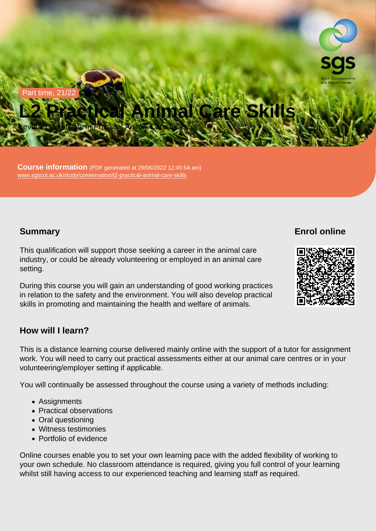Part time, 21/22

# L2 Practical Animal Care Skills

Level 2 | Certificate in Practical Animal Care Skills

Course information (PDF generated at 29/06/2022 12:45:54 am) [www.sgscol.ac.uk/study/conservation/l2-practical-animal-care-skills](https://www.sgscol.ac.uk/study/conservation/l2-practical-animal-care-skills)

## **Summary**

Enrol online

This qualification will support those seeking a career in the animal care industry, or could be already volunteering or employed in an animal care setting.

During this course you will gain an understanding of good working practices in relation to the safety and the environment. You will also develop practical skills in promoting and maintaining the health and welfare of animals.

## How will I learn?

This is a distance learning course delivered mainly online with the support of a tutor for assignment work. You will need to carry out practical assessments either at our animal care centres or in your volunteering/employer setting if applicable.

You will continually be assessed throughout the course using a variety of methods including:

- Assignments
- Practical observations
- Oral questioning
- Witness testimonies
- Portfolio of evidence

Online courses enable you to set your own learning pace with the added flexibility of working to your own schedule. No classroom attendance is required, giving you full control of your learning whilst still having access to our experienced teaching and learning staff as required.